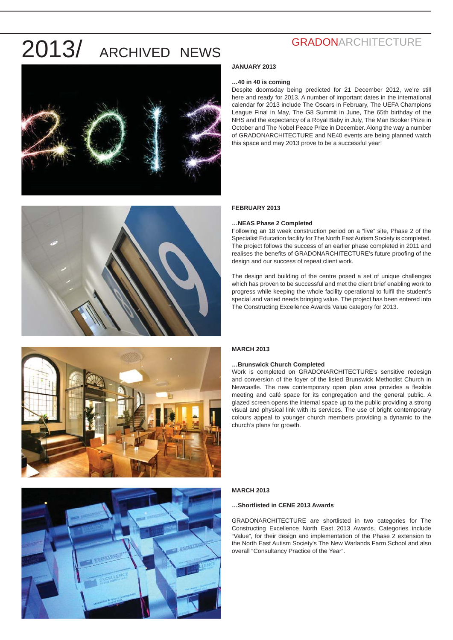



### **GRADONARCHITECTURE**

#### **JANUARY 2013**

#### **…40 in 40 is coming**

Despite doomsday being predicted for 21 December 2012, we're still here and ready for 2013. A number of important dates in the international calendar for 2013 include The Oscars in February, The UEFA Champions League Final in May, The G8 Summit in June, The 65th birthday of the NHS and the expectancy of a Royal Baby in July, The Man Booker Prize in October and The Nobel Peace Prize in December. Along the way a number of GRADONARCHITECTURE and NE40 events are being planned watch this space and may 2013 prove to be a successful year!

#### **FEBRUARY 2013**

#### **…NEAS Phase 2 Completed**

Following an 18 week construction period on a "live" site, Phase 2 of the Specialist Education facility for The North East Autism Society is completed. The project follows the success of an earlier phase completed in 2011 and realises the benefits of GRADONARCHITECTURE's future proofing of the design and our success of repeat client work.

The design and building of the centre posed a set of unique challenges which has proven to be successful and met the client brief enabling work to progress while keeping the whole facility operational to fulfil the student's special and varied needs bringing value. The project has been entered into The Constructing Excellence Awards Value category for 2013.



### **MARCH 2013**

#### **…Brunswick Church Completed**

Work is completed on GRADONARCHITECTURE's sensitive redesign and conversion of the foyer of the listed Brunswick Methodist Church in Newcastle. The new contemporary open plan area provides a flexible meeting and café space for its congregation and the general public. A glazed screen opens the internal space up to the public providing a strong visual and physical link with its services. The use of bright contemporary colours appeal to younger church members providing a dynamic to the church's plans for growth.



#### **MARCH 2013**

#### **…Shortlisted in CENE 2013 Awards**

GRADONARCHITECTURE are shortlisted in two categories for The Constructing Excellence North East 2013 Awards. Categories include "Value", for their design and implementation of the Phase 2 extension to the North East Autism Society's The New Warlands Farm School and also overall "Consultancy Practice of the Year".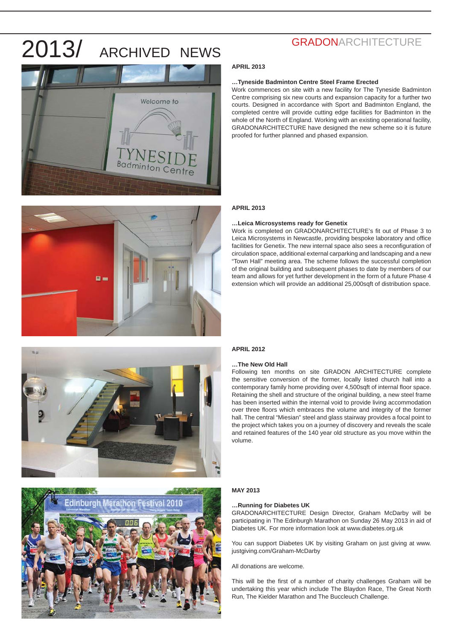



### **GRADONARCHITECTURE**

#### **APRIL 2013**

#### **…Tyneside Badminton Centre Steel Frame Erected**

Work commences on site with a new facility for The Tyneside Badminton Centre comprising six new courts and expansion capacity for a further two courts. Designed in accordance with Sport and Badminton England, the completed centre will provide cutting edge facilities for Badminton in the whole of the North of England. Working with an existing operational facility, GRADONARCHITECTURE have designed the new scheme so it is future proofed for further planned and phased expansion.

#### **APRIL 2013**

#### **…Leica Microsystems ready for Genetix**

Work is completed on GRADONARCHITECTURE's fit out of Phase 3 to Leica Microsystems in Newcastle, providing bespoke laboratory and office facilities for Genetix. The new internal space also sees a reconfiguration of circulation space, additional external carparking and landscaping and a new "Town Hall" meeting area. The scheme follows the successful completion of the original building and subsequent phases to date by members of our team and allows for yet further development in the form of a future Phase 4 extension which will provide an additional 25,000sqft of distribution space.





#### **APRIL 2012**

#### **…The New Old Hall**

Following ten months on site GRADON ARCHITECTURE complete the sensitive conversion of the former, locally listed church hall into a contemporary family home providing over 4,500sqft of internal floor space. Retaining the shell and structure of the original building, a new steel frame has been inserted within the internal void to provide living accommodation over three floors which embraces the volume and integrity of the former hall. The central "Miesian" steel and glass stairway provides a focal point to the project which takes you on a journey of discovery and reveals the scale and retained features of the 140 year old structure as you move within the volume.

#### **MAY 2013**

#### **…Running for Diabetes UK**

GRADONARCHITECTURE Design Director, Graham McDarby will be participating in The Edinburgh Marathon on Sunday 26 May 2013 in aid of Diabetes UK. For more information look at www.diabetes.org.uk

You can support Diabetes UK by visiting Graham on just giving at www. justgiving.com/Graham-McDarby

All donations are welcome.

This will be the first of a number of charity challenges Graham will be undertaking this year which include The Blaydon Race, The Great North Run, The Kielder Marathon and The Buccleuch Challenge.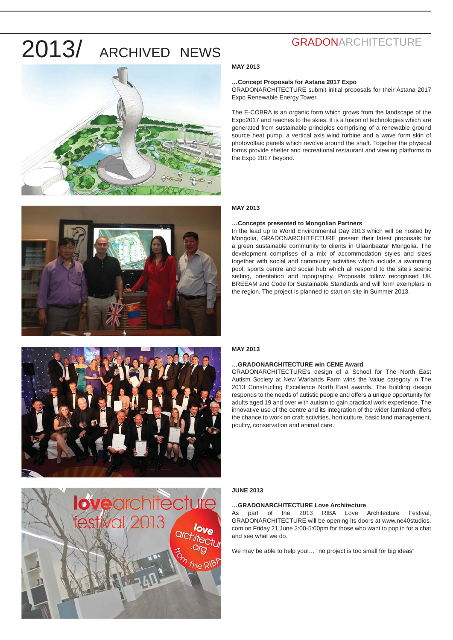



#### **MAY 2013**

#### **…Concept Proposals for Astana 2017 Expo**

GRADONARCHITECTURE submit initial proposals for their Astana 2017 Expo Renewable Energy Tower.

The E-COBRA is an organic form which grows from the landscape of the Expo2017 and reaches to the skies. It is a fusion of technologies which are generated from sustainable principles comprising of a renewable ground source heat pump, a vertical axis wind turbine and a wave form skin of photovoltaic panels which revolve around the shaft. Together the physical forms provide shelter and recreational restaurant and viewing platforms to the Expo 2017 beyond.

### **MAY 2013**

#### **…Concepts presented to Mongolian Partners**

In the lead up to World Environmental Day 2013 which will be hosted by Mongolia, GRADONARCHITECTURE present their latest proposals for a green sustainable community to clients in Ulaanbaatar Mongolia. The development comprises of a mix of accommodation styles and sizes together with social and community activities which include a swimming pool, sports centre and social hub which all respond to the site's scenic setting, orientation and topography. Proposals follow recognised UK BREEAM and Code for Sustainable Standards and will form exemplars in the region. The project is planned to start on site in Summer 2013.



# **love**architecture the RIB

#### **MAY 2013**

#### **…GRADONARCHITECTURE win CENE Award**

GRADONARCHITECTURE's design of a School for The North East Autism Society at New Warlands Farm wins the Value category in The 2013 Constructing Excellence North East awards. The building design responds to the needs of autistic people and offers a unique opportunity for adults aged 19 and over with autism to gain practical work experience. The innovative use of the centre and its integration of the wider farmland offers the chance to work on craft activities, horticulture, basic land management, poultry, conservation and animal care.

#### **JUNE 2013**

#### **…GRADONARCHITECTURE Love Architecture**

As part of the 2013 RIBA Love Architecture Festival, GRADONARCHITECTURE will be opening its doors at www.ne40studios. com on Friday 21 June 2:00-5:00pm for those who want to pop in for a chat and see what we do.

We may be able to help you !... "no project is too small for big ideas"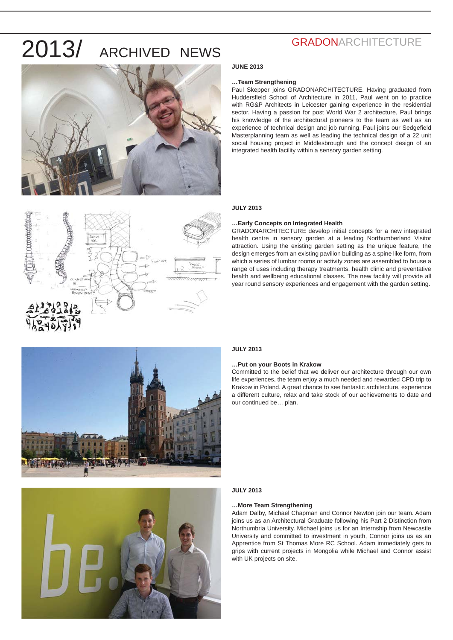



#### **JUNE 2013**

#### **…Team Strengthening**

Paul Skepper joins GRADONARCHITECTURE. Having graduated from Huddersfield School of Architecture in 2011, Paul went on to practice with RG&P Architects in Leicester gaining experience in the residential sector. Having a passion for post World War 2 architecture, Paul brings his knowledge of the architectural pioneers to the team as well as an experience of technical design and job running. Paul joins our Sedgefield Masterplanning team as well as leading the technical design of a 22 unit social housing project in Middlesbrough and the concept design of an integrated health facility within a sensory garden setting.

#### **JULY 2013**

#### **…Early Concepts on Integrated Health**

GRADONARCHITECTURE develop initial concepts for a new integrated health centre in sensory garden at a leading Northumberland Visitor attraction. Using the existing garden setting as the unique feature, the design emerges from an existing pavilion building as a spine like form, from which a series of lumbar rooms or activity zones are assembled to house a range of uses including therapy treatments, health clinic and preventative health and wellbeing educational classes. The new facility will provide all year round sensory experiences and engagement with the garden setting.





#### **JULY 2013**

#### **…Put on your Boots in Krakow**

Committed to the belief that we deliver our architecture through our own life experiences, the team enjoy a much needed and rewarded CPD trip to Krakow in Poland. A great chance to see fantastic architecture, experience a different culture, relax and take stock of our achievements to date and our continued be… plan.

#### **JULY 2013**

#### **…More Team Strengthening**

Adam Dalby, Michael Chapman and Connor Newton join our team. Adam joins us as an Architectural Graduate following his Part 2 Distinction from Northumbria University. Michael joins us for an Internship from Newcastle University and committed to investment in youth, Connor joins us as an Apprentice from St Thomas More RC School. Adam immediately gets to grips with current projects in Mongolia while Michael and Connor assist with UK projects on site.

### **GRADONARCHITECTURE**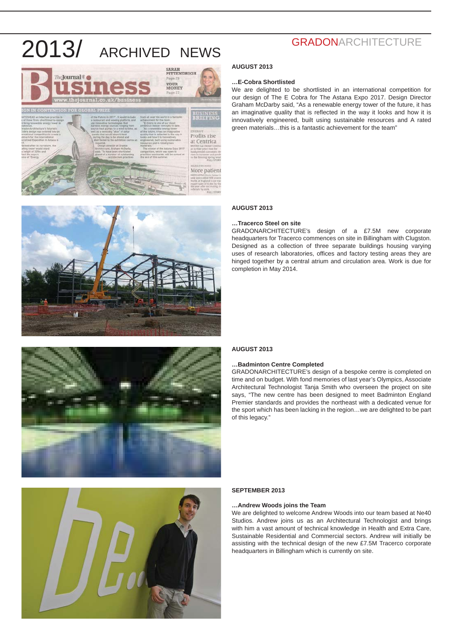





# **…Tracerco Steel on site** completion in May 2014.

### **GRADONARCHITECTURE**

#### **AUGUST 2013**

#### **…E-Cobra Shortlisted**

We are delighted to be shortlisted in an international competition for our design of The E Cobra for The Astana Expo 2017. Design Director Graham McDarby said, "As a renewable energy tower of the future, it has an imaginative quality that is reflected in the way it looks and how it is innovatively engineered, built using sustainable resources and A rated green materials…this is a fantastic achievement for the team"

#### **AUGUST 2013**

GRADONARCHITECTURE's design of a £7.5M new corporate headquarters for Tracerco commences on site in Billingham with Clugston. Designed as a collection of three separate buildings housing varying uses of research laboratories, offices and factory testing areas they are hinged together by a central atrium and circulation area. Work is due for

#### **AUGUST 2013**

#### **…Badminton Centre Completed**

GRADONARCHITECTURE's design of a bespoke centre is completed on time and on budget. With fond memories of last year's Olympics, Associate Architectural Technologist Tanja Smith who overseen the project on site says, "The new centre has been designed to meet Badminton England Premier standards and provides the northeast with a dedicated venue for the sport which has been lacking in the region…we are delighted to be part of this legacy."



#### **SEPTEMBER 2013**

#### **…Andrew Woods joins the Team**

We are delighted to welcome Andrew Woods into our team based at Ne40 Studios. Andrew joins us as an Architectural Technologist and brings with him a vast amount of technical knowledge in Health and Extra Care, Sustainable Residential and Commercial sectors. Andrew will initially be assisting with the technical design of the new £7.5M Tracerco corporate headquarters in Billingham which is currently on site.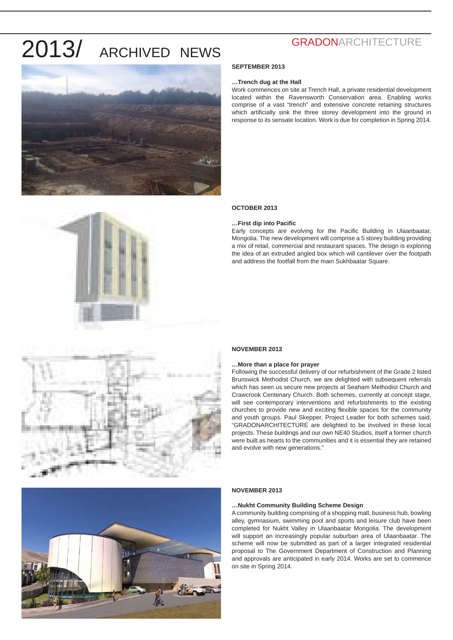

### **GRADONARCHITECTURE**

#### **SEPTEMBER 2013**

#### **…Trench dug at the Hall**

Work commences on site at Trench Hall, a private residential development located within the Ravensworth Conservation area. Enabling works comprise of a vast "trench" and extensive concrete retaining structures which artificially sink the three storey development into the ground in response to its sensate location. Work is due for completion in Spring 2014.

#### **OCTOBER 2013**

#### **…First dip into Pacifi c**

Early concepts are evolving for the Pacific Building in Ulaanbaatar, Mongolia. The new development will comprise a 5 storey building providing a mix of retail, commercial and restaurant spaces. The design is exploring the idea of an extruded angled box which will cantilever over the footpath and address the footfall from the main Sukhbaatar Square.





#### **NOVEMBER 2013**

#### **…More than a place for prayer**

Following the successful delivery of our refurbishment of the Grade 2 listed Brunswick Methodist Church, we are delighted with subsequent referrals which has seen us secure new projects at Seaham Methodist Church and Crawcrook Centenary Church. Both schemes, currently at concept stage, will see contemporary interventions and refurbishments to the existing churches to provide new and exciting flexible spaces for the community and youth groups. Paul Skepper, Project Leader for both schemes said, "GRADONARCHITECTURE are delighted to be involved in these local projects. These buildings and our own NE40 Studios, itself a former church were built as hearts to the communities and it is essential they are retained and evolve with new generations."



#### **NOVEMBER 2013**

#### **…Nukht Community Building Scheme Design**

A community building comprising of a shopping mall, business hub, bowling alley, gymnasium, swimming pool and sports and leisure club have been completed for Nukht Valley in Ulaanbaatar Mongolia. The development will support an increasingly popular suburban area of Ulaanbaatar. The scheme will now be submitted as part of a larger integrated residential proposal to The Government Department of Construction and Planning and approvals are anticipated in early 2014. Works are set to commence on site in Spring 2014.